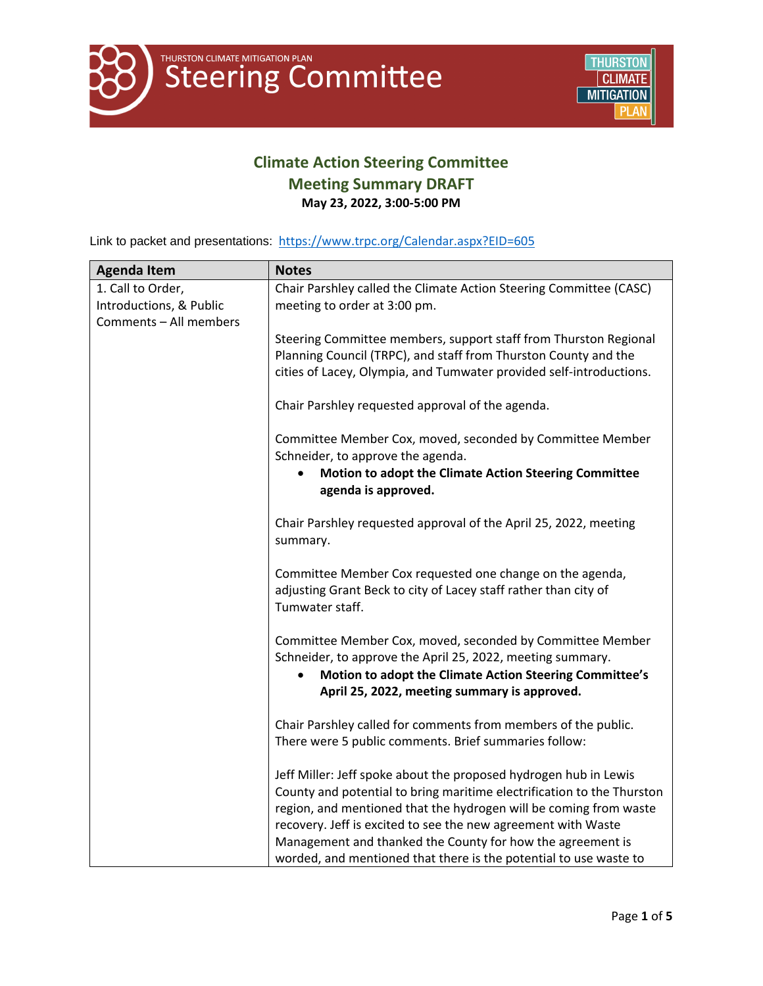

## **Climate Action Steering Committee Meeting Summary DRAFT May 23, 2022, 3:00-5:00 PM**

Link to packet and presentations: <https://www.trpc.org/Calendar.aspx?EID=605>

| <b>Agenda Item</b>                           | <b>Notes</b>                                                                                                                                   |
|----------------------------------------------|------------------------------------------------------------------------------------------------------------------------------------------------|
| 1. Call to Order,<br>Introductions, & Public | Chair Parshley called the Climate Action Steering Committee (CASC)<br>meeting to order at 3:00 pm.                                             |
| Comments - All members                       |                                                                                                                                                |
|                                              | Steering Committee members, support staff from Thurston Regional                                                                               |
|                                              | Planning Council (TRPC), and staff from Thurston County and the                                                                                |
|                                              | cities of Lacey, Olympia, and Tumwater provided self-introductions.                                                                            |
|                                              | Chair Parshley requested approval of the agenda.                                                                                               |
|                                              | Committee Member Cox, moved, seconded by Committee Member<br>Schneider, to approve the agenda.                                                 |
|                                              | Motion to adopt the Climate Action Steering Committee<br>agenda is approved.                                                                   |
|                                              | Chair Parshley requested approval of the April 25, 2022, meeting<br>summary.                                                                   |
|                                              | Committee Member Cox requested one change on the agenda,<br>adjusting Grant Beck to city of Lacey staff rather than city of<br>Tumwater staff. |
|                                              | Committee Member Cox, moved, seconded by Committee Member                                                                                      |
|                                              | Schneider, to approve the April 25, 2022, meeting summary.<br>Motion to adopt the Climate Action Steering Committee's                          |
|                                              | April 25, 2022, meeting summary is approved.                                                                                                   |
|                                              | Chair Parshley called for comments from members of the public.                                                                                 |
|                                              | There were 5 public comments. Brief summaries follow:                                                                                          |
|                                              | Jeff Miller: Jeff spoke about the proposed hydrogen hub in Lewis                                                                               |
|                                              | County and potential to bring maritime electrification to the Thurston                                                                         |
|                                              | region, and mentioned that the hydrogen will be coming from waste                                                                              |
|                                              | recovery. Jeff is excited to see the new agreement with Waste<br>Management and thanked the County for how the agreement is                    |
|                                              | worded, and mentioned that there is the potential to use waste to                                                                              |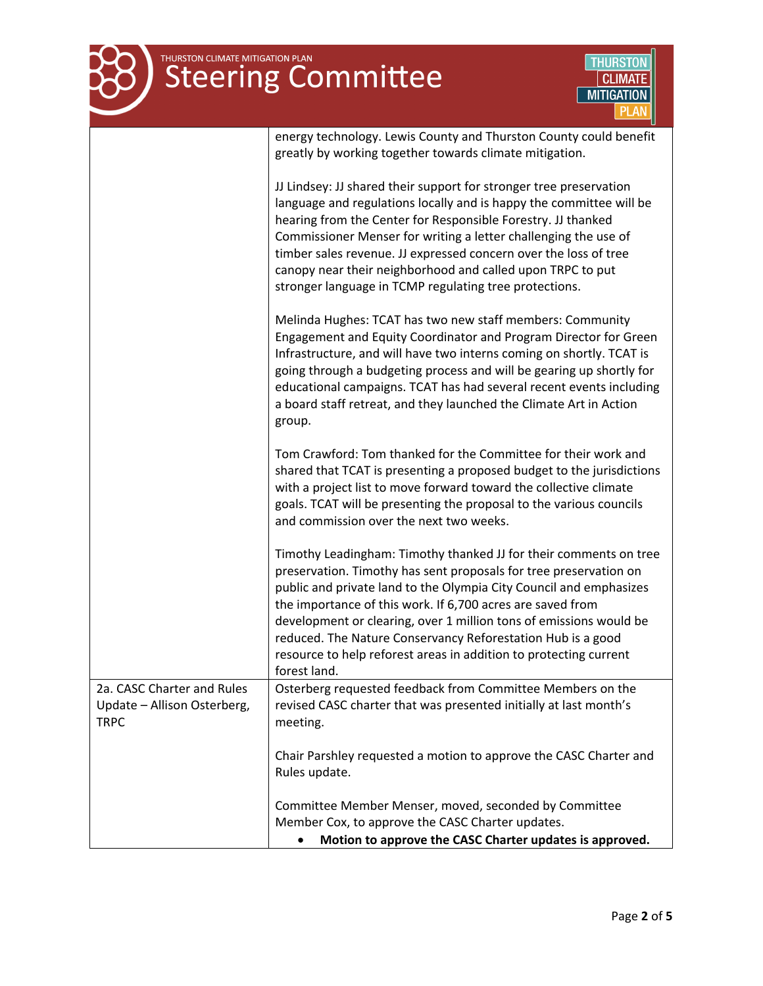| THURSTON CLIMATE MITIGATION PLAN                                         | <b>THURSTON</b><br><b>Steering Committee</b><br><b>CLIMATE</b><br><b>MITIGATION</b>                                                                                                                                                                                                                                                                                                                                                                                                                  |
|--------------------------------------------------------------------------|------------------------------------------------------------------------------------------------------------------------------------------------------------------------------------------------------------------------------------------------------------------------------------------------------------------------------------------------------------------------------------------------------------------------------------------------------------------------------------------------------|
|                                                                          | energy technology. Lewis County and Thurston County could benefit<br>greatly by working together towards climate mitigation.                                                                                                                                                                                                                                                                                                                                                                         |
|                                                                          | JJ Lindsey: JJ shared their support for stronger tree preservation<br>language and regulations locally and is happy the committee will be<br>hearing from the Center for Responsible Forestry. JJ thanked<br>Commissioner Menser for writing a letter challenging the use of<br>timber sales revenue. JJ expressed concern over the loss of tree<br>canopy near their neighborhood and called upon TRPC to put<br>stronger language in TCMP regulating tree protections.                             |
|                                                                          | Melinda Hughes: TCAT has two new staff members: Community<br>Engagement and Equity Coordinator and Program Director for Green<br>Infrastructure, and will have two interns coming on shortly. TCAT is<br>going through a budgeting process and will be gearing up shortly for<br>educational campaigns. TCAT has had several recent events including<br>a board staff retreat, and they launched the Climate Art in Action<br>group.                                                                 |
|                                                                          | Tom Crawford: Tom thanked for the Committee for their work and<br>shared that TCAT is presenting a proposed budget to the jurisdictions<br>with a project list to move forward toward the collective climate<br>goals. TCAT will be presenting the proposal to the various councils<br>and commission over the next two weeks.                                                                                                                                                                       |
|                                                                          | Timothy Leadingham: Timothy thanked JJ for their comments on tree<br>preservation. Timothy has sent proposals for tree preservation on<br>public and private land to the Olympia City Council and emphasizes<br>the importance of this work. If 6,700 acres are saved from<br>development or clearing, over 1 million tons of emissions would be<br>reduced. The Nature Conservancy Reforestation Hub is a good<br>resource to help reforest areas in addition to protecting current<br>forest land. |
| 2a. CASC Charter and Rules<br>Update - Allison Osterberg,<br><b>TRPC</b> | Osterberg requested feedback from Committee Members on the<br>revised CASC charter that was presented initially at last month's<br>meeting.                                                                                                                                                                                                                                                                                                                                                          |
|                                                                          | Chair Parshley requested a motion to approve the CASC Charter and<br>Rules update.                                                                                                                                                                                                                                                                                                                                                                                                                   |
|                                                                          | Committee Member Menser, moved, seconded by Committee<br>Member Cox, to approve the CASC Charter updates.<br>Motion to approve the CASC Charter updates is approved.                                                                                                                                                                                                                                                                                                                                 |

 $\overline{\phantom{a}}$ 

÷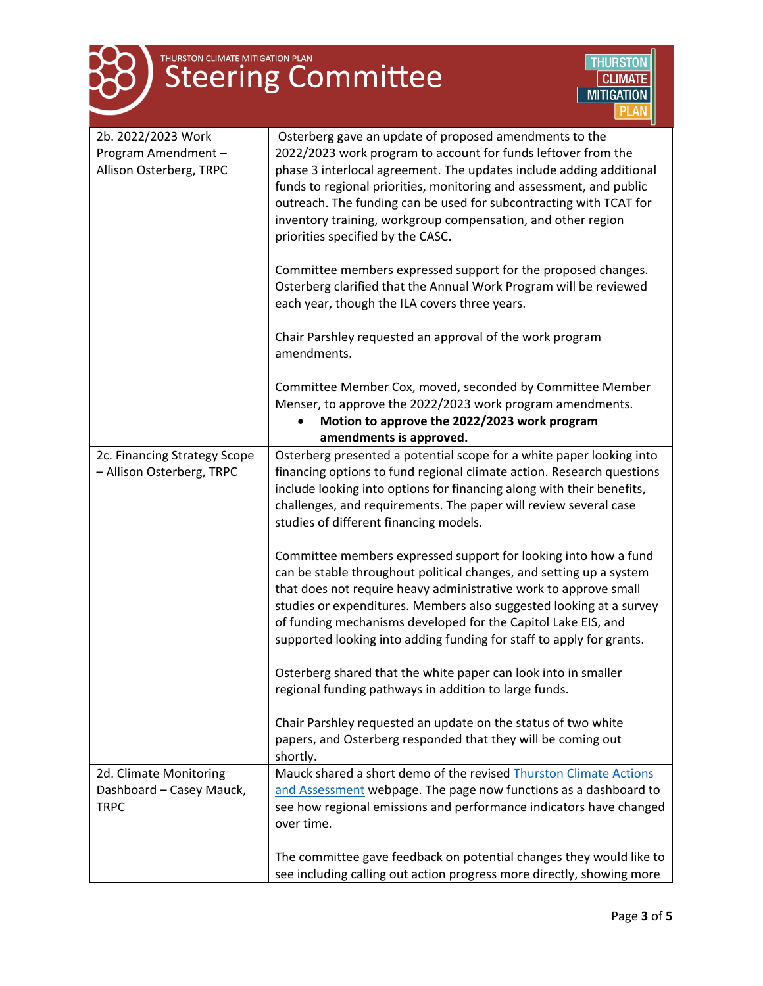

| 2b. 2022/2023 Work<br>Program Amendment-<br>Allison Osterberg, TRPC | Osterberg gave an update of proposed amendments to the<br>2022/2023 work program to account for funds leftover from the<br>phase 3 interlocal agreement. The updates include adding additional |
|---------------------------------------------------------------------|------------------------------------------------------------------------------------------------------------------------------------------------------------------------------------------------|
|                                                                     | funds to regional priorities, monitoring and assessment, and public                                                                                                                            |
|                                                                     | outreach. The funding can be used for subcontracting with TCAT for                                                                                                                             |
|                                                                     | inventory training, workgroup compensation, and other region                                                                                                                                   |
|                                                                     | priorities specified by the CASC.                                                                                                                                                              |
|                                                                     | Committee members expressed support for the proposed changes.                                                                                                                                  |
|                                                                     | Osterberg clarified that the Annual Work Program will be reviewed                                                                                                                              |
|                                                                     | each year, though the ILA covers three years.                                                                                                                                                  |
|                                                                     | Chair Parshley requested an approval of the work program<br>amendments.                                                                                                                        |
|                                                                     | Committee Member Cox, moved, seconded by Committee Member<br>Menser, to approve the 2022/2023 work program amendments.                                                                         |
|                                                                     | Motion to approve the 2022/2023 work program                                                                                                                                                   |
|                                                                     | amendments is approved.                                                                                                                                                                        |
| 2c. Financing Strategy Scope<br>- Allison Osterberg, TRPC           | Osterberg presented a potential scope for a white paper looking into<br>financing options to fund regional climate action. Research questions                                                  |
|                                                                     | include looking into options for financing along with their benefits,                                                                                                                          |
|                                                                     | challenges, and requirements. The paper will review several case                                                                                                                               |
|                                                                     | studies of different financing models.                                                                                                                                                         |
|                                                                     | Committee members expressed support for looking into how a fund                                                                                                                                |
|                                                                     | can be stable throughout political changes, and setting up a system                                                                                                                            |
|                                                                     | that does not require heavy administrative work to approve small                                                                                                                               |
|                                                                     | studies or expenditures. Members also suggested looking at a survey                                                                                                                            |
|                                                                     | of funding mechanisms developed for the Capitol Lake EIS, and<br>supported looking into adding funding for staff to apply for grants.                                                          |
|                                                                     |                                                                                                                                                                                                |
|                                                                     | Osterberg shared that the white paper can look into in smaller                                                                                                                                 |
|                                                                     | regional funding pathways in addition to large funds.                                                                                                                                          |
|                                                                     | Chair Parshley requested an update on the status of two white                                                                                                                                  |
|                                                                     | papers, and Osterberg responded that they will be coming out                                                                                                                                   |
|                                                                     | shortly.                                                                                                                                                                                       |
| 2d. Climate Monitoring                                              | Mauck shared a short demo of the revised Thurston Climate Actions                                                                                                                              |
| Dashboard - Casey Mauck,                                            | and Assessment webpage. The page now functions as a dashboard to                                                                                                                               |
| <b>TRPC</b>                                                         | see how regional emissions and performance indicators have changed<br>over time.                                                                                                               |
|                                                                     |                                                                                                                                                                                                |
|                                                                     | The committee gave feedback on potential changes they would like to                                                                                                                            |
|                                                                     | see including calling out action progress more directly, showing more                                                                                                                          |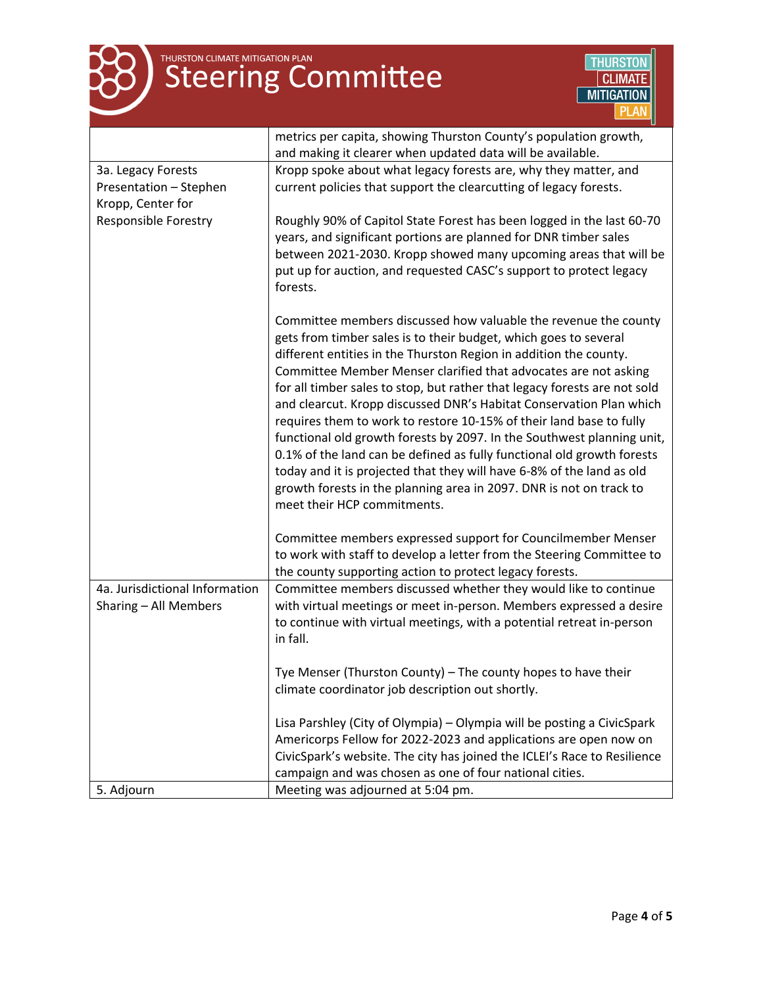

# THURSTON CLIMATE MITIGATION PLAN



|                                | metrics per capita, showing Thurston County's population growth,                                                                                                                                                                                                                                                                                                                                                                                                                                                                                                                                                                                                                                                                                                                                                                          |
|--------------------------------|-------------------------------------------------------------------------------------------------------------------------------------------------------------------------------------------------------------------------------------------------------------------------------------------------------------------------------------------------------------------------------------------------------------------------------------------------------------------------------------------------------------------------------------------------------------------------------------------------------------------------------------------------------------------------------------------------------------------------------------------------------------------------------------------------------------------------------------------|
|                                | and making it clearer when updated data will be available.                                                                                                                                                                                                                                                                                                                                                                                                                                                                                                                                                                                                                                                                                                                                                                                |
| 3a. Legacy Forests             | Kropp spoke about what legacy forests are, why they matter, and                                                                                                                                                                                                                                                                                                                                                                                                                                                                                                                                                                                                                                                                                                                                                                           |
| Presentation - Stephen         | current policies that support the clearcutting of legacy forests.                                                                                                                                                                                                                                                                                                                                                                                                                                                                                                                                                                                                                                                                                                                                                                         |
| Kropp, Center for              |                                                                                                                                                                                                                                                                                                                                                                                                                                                                                                                                                                                                                                                                                                                                                                                                                                           |
| <b>Responsible Forestry</b>    | Roughly 90% of Capitol State Forest has been logged in the last 60-70<br>years, and significant portions are planned for DNR timber sales<br>between 2021-2030. Kropp showed many upcoming areas that will be<br>put up for auction, and requested CASC's support to protect legacy<br>forests.                                                                                                                                                                                                                                                                                                                                                                                                                                                                                                                                           |
|                                | Committee members discussed how valuable the revenue the county<br>gets from timber sales is to their budget, which goes to several<br>different entities in the Thurston Region in addition the county.<br>Committee Member Menser clarified that advocates are not asking<br>for all timber sales to stop, but rather that legacy forests are not sold<br>and clearcut. Kropp discussed DNR's Habitat Conservation Plan which<br>requires them to work to restore 10-15% of their land base to fully<br>functional old growth forests by 2097. In the Southwest planning unit,<br>0.1% of the land can be defined as fully functional old growth forests<br>today and it is projected that they will have 6-8% of the land as old<br>growth forests in the planning area in 2097. DNR is not on track to<br>meet their HCP commitments. |
|                                | Committee members expressed support for Councilmember Menser                                                                                                                                                                                                                                                                                                                                                                                                                                                                                                                                                                                                                                                                                                                                                                              |
|                                | to work with staff to develop a letter from the Steering Committee to                                                                                                                                                                                                                                                                                                                                                                                                                                                                                                                                                                                                                                                                                                                                                                     |
|                                | the county supporting action to protect legacy forests.                                                                                                                                                                                                                                                                                                                                                                                                                                                                                                                                                                                                                                                                                                                                                                                   |
| 4a. Jurisdictional Information | Committee members discussed whether they would like to continue                                                                                                                                                                                                                                                                                                                                                                                                                                                                                                                                                                                                                                                                                                                                                                           |
| Sharing - All Members          | with virtual meetings or meet in-person. Members expressed a desire<br>to continue with virtual meetings, with a potential retreat in-person<br>in fall.                                                                                                                                                                                                                                                                                                                                                                                                                                                                                                                                                                                                                                                                                  |
|                                | Tye Menser (Thurston County) - The county hopes to have their                                                                                                                                                                                                                                                                                                                                                                                                                                                                                                                                                                                                                                                                                                                                                                             |
|                                | climate coordinator job description out shortly.                                                                                                                                                                                                                                                                                                                                                                                                                                                                                                                                                                                                                                                                                                                                                                                          |
|                                | Lisa Parshley (City of Olympia) - Olympia will be posting a CivicSpark                                                                                                                                                                                                                                                                                                                                                                                                                                                                                                                                                                                                                                                                                                                                                                    |
|                                | Americorps Fellow for 2022-2023 and applications are open now on                                                                                                                                                                                                                                                                                                                                                                                                                                                                                                                                                                                                                                                                                                                                                                          |
|                                | CivicSpark's website. The city has joined the ICLEI's Race to Resilience                                                                                                                                                                                                                                                                                                                                                                                                                                                                                                                                                                                                                                                                                                                                                                  |
|                                | campaign and was chosen as one of four national cities.                                                                                                                                                                                                                                                                                                                                                                                                                                                                                                                                                                                                                                                                                                                                                                                   |
| 5. Adjourn                     | Meeting was adjourned at 5:04 pm.                                                                                                                                                                                                                                                                                                                                                                                                                                                                                                                                                                                                                                                                                                                                                                                                         |